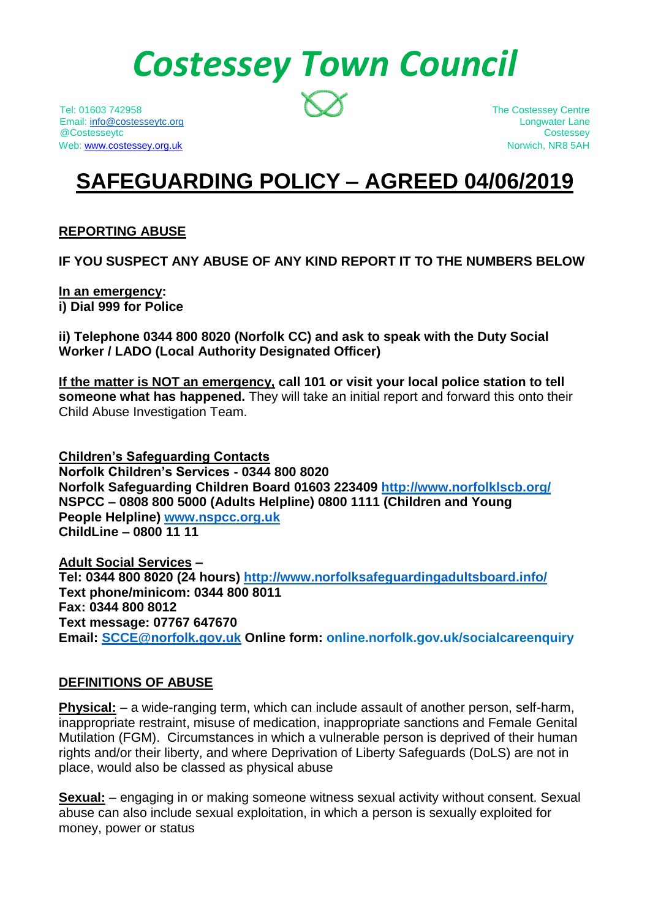# *Costessey Town Council*

Tel: 01603 742958 The Costessey Centre Email: [info@costesseytc.org](mailto:info@costesseytc.org) Longwater Lane @Costesseytc Costessey Web[: www.costessey.org.uk](http://www.costessey.org.uk/) Norwich, NR8 5AH

# **SAFEGUARDING POLICY – AGREED 04/06/2019**

# **REPORTING ABUSE**

**IF YOU SUSPECT ANY ABUSE OF ANY KIND REPORT IT TO THE NUMBERS BELOW**

**In an emergency: i) Dial 999 for Police**

**ii) Telephone 0344 800 8020 (Norfolk CC) and ask to speak with the Duty Social Worker / LADO (Local Authority Designated Officer)**

**If the matter is NOT an emergency, call 101 or visit your local police station to tell someone what has happened.** They will take an initial report and forward this onto their Child Abuse Investigation Team.

**Children's Safeguarding Contacts Norfolk Children's Services - 0344 800 8020 Norfolk Safeguarding Children Board 01603 223409<http://www.norfolklscb.org/> NSPCC – 0808 800 5000 (Adults Helpline) 0800 1111 (Children and Young People Helpline) [www.nspcc.org.uk](http://www.nspcc.org.uk/) ChildLine – 0800 11 11**

**Adult Social Services – Tel: 0344 800 8020 (24 hours) <http://www.norfolksafeguardingadultsboard.info/> Text phone/minicom: 0344 800 8011 Fax: 0344 800 8012 Text message: 07767 647670 Email: [SCCE@norfolk.gov.uk](mailto:SCCE@norfolk.gov.uk) Online form: online.norfolk.gov.uk/socialcareenquiry**

#### **DEFINITIONS OF ABUSE**

**Physical:** – a wide-ranging term, which can include assault of another person, self-harm, inappropriate restraint, misuse of medication, inappropriate sanctions and Female Genital Mutilation (FGM). Circumstances in which a vulnerable person is deprived of their human rights and/or their liberty, and where Deprivation of Liberty Safeguards (DoLS) are not in place, would also be classed as physical abuse

**Sexual:** – engaging in or making someone witness sexual activity without consent. Sexual abuse can also include sexual exploitation, in which a person is sexually exploited for money, power or status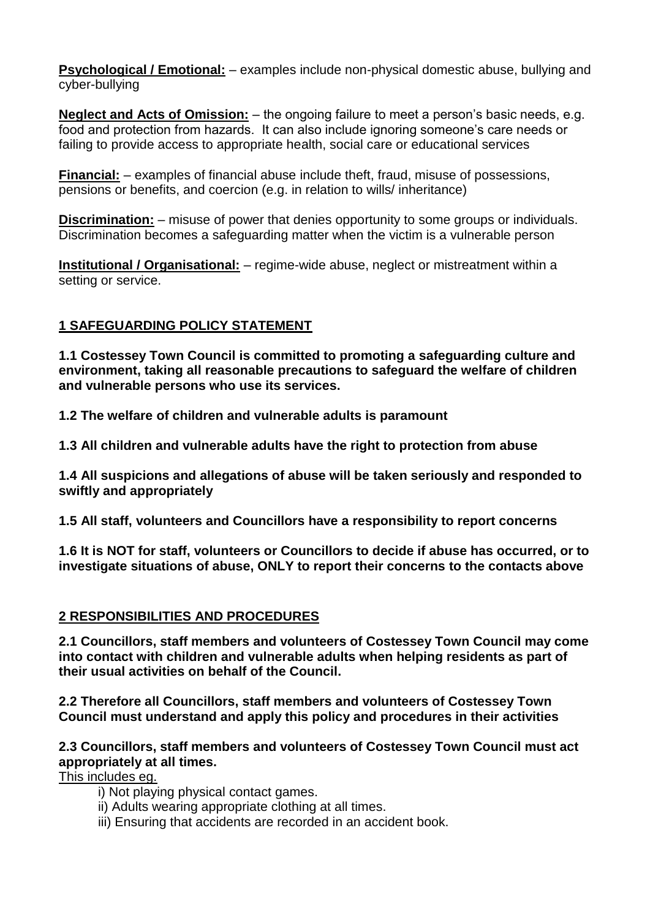**Psychological / Emotional:** – examples include non-physical domestic abuse, bullying and cyber-bullying

**Neglect and Acts of Omission:** – the ongoing failure to meet a person's basic needs, e.g. food and protection from hazards. It can also include ignoring someone's care needs or failing to provide access to appropriate health, social care or educational services

**Financial:** – examples of financial abuse include theft, fraud, misuse of possessions, pensions or benefits, and coercion (e.g. in relation to wills/ inheritance)

**Discrimination:** – misuse of power that denies opportunity to some groups or individuals. Discrimination becomes a safeguarding matter when the victim is a vulnerable person

**Institutional / Organisational:** – regime-wide abuse, neglect or mistreatment within a setting or service.

# **1 SAFEGUARDING POLICY STATEMENT**

**1.1 Costessey Town Council is committed to promoting a safeguarding culture and environment, taking all reasonable precautions to safeguard the welfare of children and vulnerable persons who use its services.**

**1.2 The welfare of children and vulnerable adults is paramount**

**1.3 All children and vulnerable adults have the right to protection from abuse**

**1.4 All suspicions and allegations of abuse will be taken seriously and responded to swiftly and appropriately**

**1.5 All staff, volunteers and Councillors have a responsibility to report concerns** 

**1.6 It is NOT for staff, volunteers or Councillors to decide if abuse has occurred, or to investigate situations of abuse, ONLY to report their concerns to the contacts above**

# **2 RESPONSIBILITIES AND PROCEDURES**

**2.1 Councillors, staff members and volunteers of Costessey Town Council may come into contact with children and vulnerable adults when helping residents as part of their usual activities on behalf of the Council.** 

**2.2 Therefore all Councillors, staff members and volunteers of Costessey Town Council must understand and apply this policy and procedures in their activities**

# **2.3 Councillors, staff members and volunteers of Costessey Town Council must act appropriately at all times.**

This includes eg.

- i) Not playing physical contact games.
- ii) Adults wearing appropriate clothing at all times.
- iii) Ensuring that accidents are recorded in an accident book.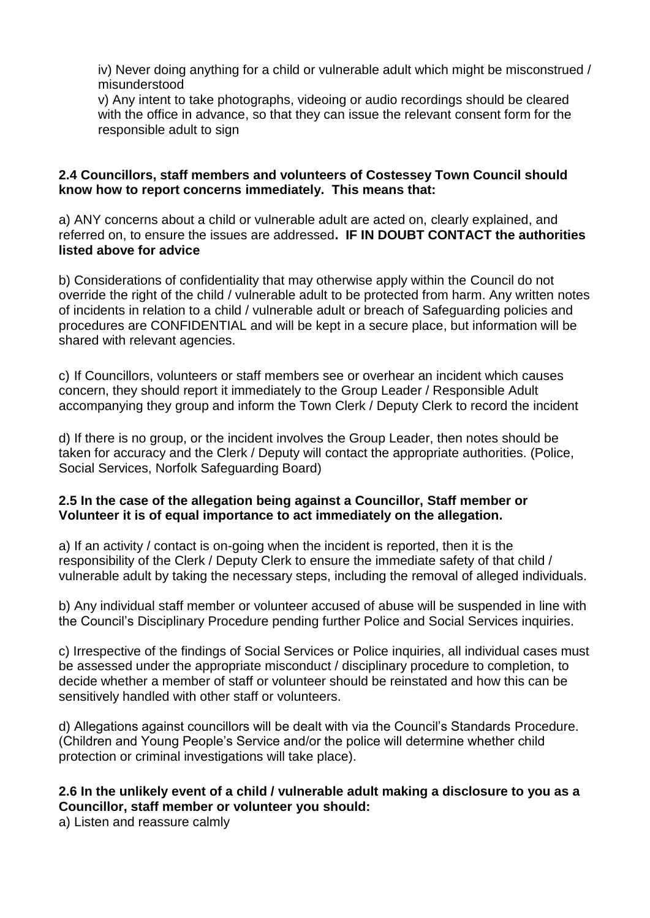iv) Never doing anything for a child or vulnerable adult which might be misconstrued / misunderstood

v) Any intent to take photographs, videoing or audio recordings should be cleared with the office in advance, so that they can issue the relevant consent form for the responsible adult to sign

# **2.4 Councillors, staff members and volunteers of Costessey Town Council should know how to report concerns immediately. This means that:**

a) ANY concerns about a child or vulnerable adult are acted on, clearly explained, and referred on, to ensure the issues are addressed**. IF IN DOUBT CONTACT the authorities listed above for advice**

b) Considerations of confidentiality that may otherwise apply within the Council do not override the right of the child / vulnerable adult to be protected from harm. Any written notes of incidents in relation to a child / vulnerable adult or breach of Safeguarding policies and procedures are CONFIDENTIAL and will be kept in a secure place, but information will be shared with relevant agencies.

c) If Councillors, volunteers or staff members see or overhear an incident which causes concern, they should report it immediately to the Group Leader / Responsible Adult accompanying they group and inform the Town Clerk / Deputy Clerk to record the incident

d) If there is no group, or the incident involves the Group Leader, then notes should be taken for accuracy and the Clerk / Deputy will contact the appropriate authorities. (Police, Social Services, Norfolk Safeguarding Board)

# **2.5 In the case of the allegation being against a Councillor, Staff member or Volunteer it is of equal importance to act immediately on the allegation.**

a) If an activity / contact is on-going when the incident is reported, then it is the responsibility of the Clerk / Deputy Clerk to ensure the immediate safety of that child / vulnerable adult by taking the necessary steps, including the removal of alleged individuals.

b) Any individual staff member or volunteer accused of abuse will be suspended in line with the Council's Disciplinary Procedure pending further Police and Social Services inquiries.

c) Irrespective of the findings of Social Services or Police inquiries, all individual cases must be assessed under the appropriate misconduct / disciplinary procedure to completion, to decide whether a member of staff or volunteer should be reinstated and how this can be sensitively handled with other staff or volunteers.

d) Allegations against councillors will be dealt with via the Council's Standards Procedure. (Children and Young People's Service and/or the police will determine whether child protection or criminal investigations will take place).

# **2.6 In the unlikely event of a child / vulnerable adult making a disclosure to you as a Councillor, staff member or volunteer you should:**

a) Listen and reassure calmly